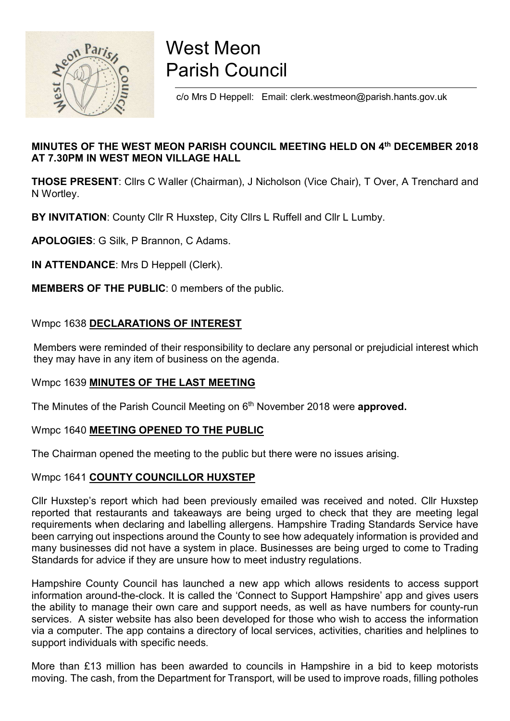

# West Meon Parish Council

c/o Mrs D Heppell: Email: clerk.westmeon@parish.hants.gov.uk

# MINUTES OF THE WEST MEON PARISH COUNCIL MEETING HELD ON 4th DECEMBER 2018 AT 7.30PM IN WEST MEON VILLAGE HALL

THOSE PRESENT: Cllrs C Waller (Chairman), J Nicholson (Vice Chair), T Over, A Trenchard and N Wortley.

BY INVITATION: County Cllr R Huxstep, City Cllrs L Ruffell and Cllr L Lumby.

APOLOGIES: G Silk, P Brannon, C Adams.

IN ATTENDANCE: Mrs D Heppell (Clerk).

MEMBERS OF THE PUBLIC: 0 members of the public.

# Wmpc 1638 DECLARATIONS OF INTEREST

 Members were reminded of their responsibility to declare any personal or prejudicial interest which they may have in any item of business on the agenda.

# Wmpc 1639 MINUTES OF THE LAST MEETING

The Minutes of the Parish Council Meeting on 6<sup>th</sup> November 2018 were approved.

# Wmpc 1640 MEETING OPENED TO THE PUBLIC

The Chairman opened the meeting to the public but there were no issues arising.

# Wmpc 1641 COUNTY COUNCILLOR HUXSTEP

Cllr Huxstep's report which had been previously emailed was received and noted. Cllr Huxstep reported that restaurants and takeaways are being urged to check that they are meeting legal requirements when declaring and labelling allergens. Hampshire Trading Standards Service have been carrying out inspections around the County to see how adequately information is provided and many businesses did not have a system in place. Businesses are being urged to come to Trading Standards for advice if they are unsure how to meet industry regulations.

Hampshire County Council has launched a new app which allows residents to access support information around-the-clock. It is called the 'Connect to Support Hampshire' app and gives users the ability to manage their own care and support needs, as well as have numbers for county-run services. A sister website has also been developed for those who wish to access the information via a computer. The app contains a directory of local services, activities, charities and helplines to support individuals with specific needs.

More than £13 million has been awarded to councils in Hampshire in a bid to keep motorists moving. The cash, from the Department for Transport, will be used to improve roads, filling potholes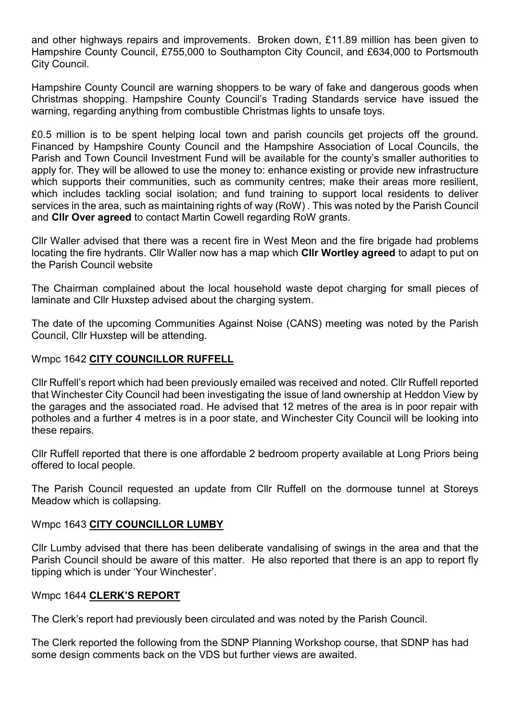and other highways repairs and improvements. Broken down, £11.89 million has been given to Hampshire County Council, £755,000 to Southampton City Council, and £634,000 to Portsmouth City Council.

Hampshire County Council are warning shoppers to be wary of fake and dangerous goods when Christmas shopping. Hampshire County Council's Trading Standards service have issued the warning, regarding anything from combustible Christmas lights to unsafe toys.

£0.5 million is to be spent helping local town and parish councils get projects off the ground. Financed by Hampshire County Council and the Hampshire Association of Local Councils, the Parish and Town Council Investment Fund will be available for the county's smaller authorities to apply for. They will be allowed to use the money to: enhance existing or provide new infrastructure which supports their communities, such as community centres; make their areas more resilient, which includes tackling social isolation; and fund training to support local residents to deliver services in the area, such as maintaining rights of way (RoW) . This was noted by the Parish Council and CIIr Over agreed to contact Martin Cowell regarding RoW grants.

Cllr Waller advised that there was a recent fire in West Meon and the fire brigade had problems locating the fire hydrants. Cllr Waller now has a map which Cllr Wortley agreed to adapt to put on the Parish Council website

The Chairman complained about the local household waste depot charging for small pieces of laminate and Cllr Huxstep advised about the charging system.

The date of the upcoming Communities Against Noise (CANS) meeting was noted by the Parish Council, Cllr Huxstep will be attending.

# Wmpc 1642 CITY COUNCILLOR RUFFELL

Cllr Ruffell's report which had been previously emailed was received and noted. Cllr Ruffell reported that Winchester City Council had been investigating the issue of land ownership at Heddon View by the garages and the associated road. He advised that 12 metres of the area is in poor repair with potholes and a further 4 metres is in a poor state, and Winchester City Council will be looking into these repairs.

Cllr Ruffell reported that there is one affordable 2 bedroom property available at Long Priors being offered to local people.

The Parish Council requested an update from Cllr Ruffell on the dormouse tunnel at Storeys Meadow which is collapsing.

# Wmpc 1643 CITY COUNCILLOR LUMBY

Cllr Lumby advised that there has been deliberate vandalising of swings in the area and that the Parish Council should be aware of this matter. He also reported that there is an app to report fly tipping which is under 'Your Winchester'.

#### Wmpc 1644 CLERK'S REPORT

The Clerk's report had previously been circulated and was noted by the Parish Council.

The Clerk reported the following from the SDNP Planning Workshop course, that SDNP has had some design comments back on the VDS but further views are awaited.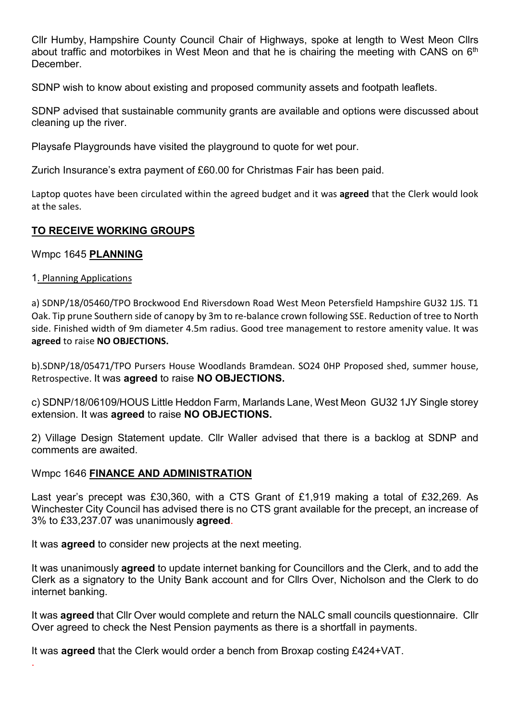Cllr Humby, Hampshire County Council Chair of Highways, spoke at length to West Meon Cllrs about traffic and motorbikes in West Meon and that he is chairing the meeting with CANS on  $6<sup>th</sup>$ December.

SDNP wish to know about existing and proposed community assets and footpath leaflets.

SDNP advised that sustainable community grants are available and options were discussed about cleaning up the river.

Playsafe Playgrounds have visited the playground to quote for wet pour.

Zurich Insurance's extra payment of £60.00 for Christmas Fair has been paid.

Laptop quotes have been circulated within the agreed budget and it was **agreed** that the Clerk would look at the sales.

# TO RECEIVE WORKING GROUPS

Wmpc 1645 PLANNING

# 1. Planning Applications

.

a) SDNP/18/05460/TPO Brockwood End Riversdown Road West Meon Petersfield Hampshire GU32 1JS. T1 Oak. Tip prune Southern side of canopy by 3m to re-balance crown following SSE. Reduction of tree to North side. Finished width of 9m diameter 4.5m radius. Good tree management to restore amenity value. It was agreed to raise NO OBJECTIONS.

b).SDNP/18/05471/TPO Pursers House Woodlands Bramdean. SO24 0HP Proposed shed, summer house, Retrospective. It was agreed to raise NO OBJECTIONS.

c) SDNP/18/06109/HOUS Little Heddon Farm, Marlands Lane, West Meon GU32 1JY Single storey extension. It was agreed to raise NO OBJECTIONS.

2) Village Design Statement update. Cllr Waller advised that there is a backlog at SDNP and comments are awaited.

# Wmpc 1646 FINANCE AND ADMINISTRATION

Last year's precept was £30,360, with a CTS Grant of £1,919 making a total of £32,269. As Winchester City Council has advised there is no CTS grant available for the precept, an increase of 3% to £33,237.07 was unanimously agreed.

It was **agreed** to consider new projects at the next meeting.

It was unanimously agreed to update internet banking for Councillors and the Clerk, and to add the Clerk as a signatory to the Unity Bank account and for Cllrs Over, Nicholson and the Clerk to do internet banking.

It was **agreed** that Cllr Over would complete and return the NALC small councils questionnaire. Cllr Over agreed to check the Nest Pension payments as there is a shortfall in payments.

It was agreed that the Clerk would order a bench from Broxap costing £424+VAT.